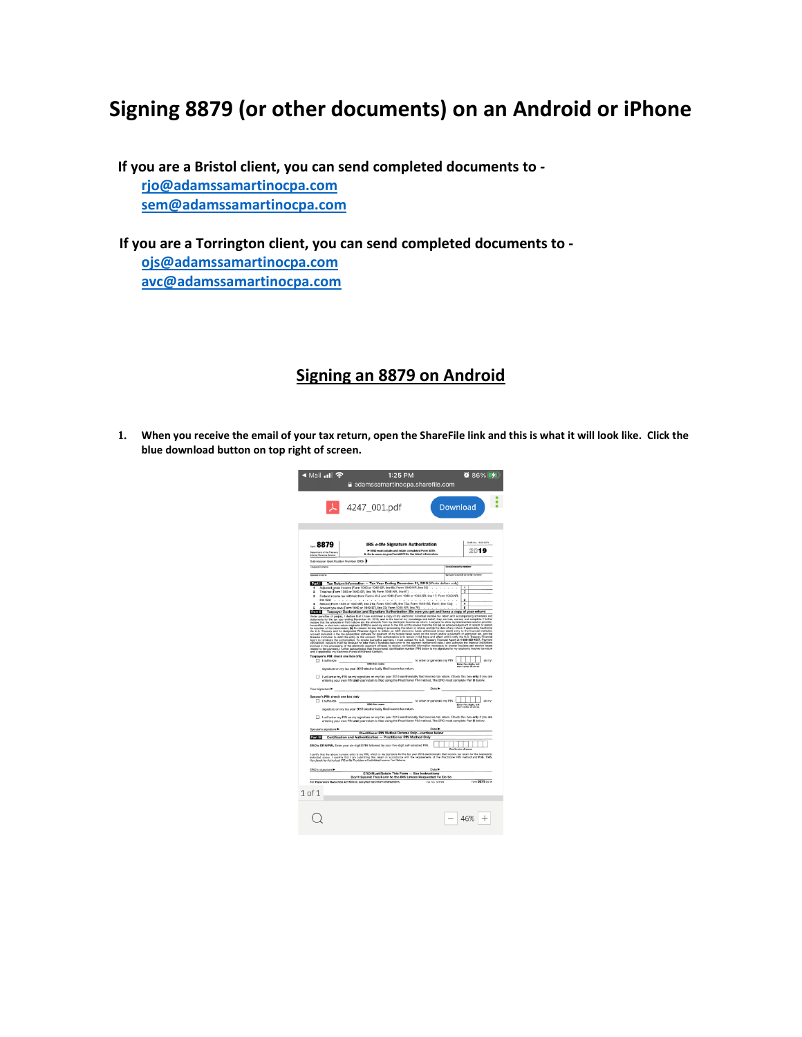## **Signing 8879 (or other documents) on an Android or iPhone**

**If you are a Bristol client, you can send completed documents to [rjo@adamssamartinocpa.com](mailto:rjo@adamssamartinocpa.com) [sem@adamssamartinocpa.com](mailto:sem@adamssamartinocpa.com)**

 **If you are a Torrington client, you can send completed documents to [ojs@adamssamartinocpa.com](mailto:ojs@adamssamartinocpa.com) [avc@adamssamartinocpa.com](mailto:avc@adamssamartinocpa.com)**

## **Signing an 8879 on Android**

**1. When you receive the email of your tax return, open the ShareFile link and this is what it will look like. Click the blue download button on top right of screen.**

| $0.86\%$ $\sqrt{21}$<br>ৰ Mail <sub>ম</sub> ∎l ক<br>1:25 PM<br>a adamssamartinocpa.sharefile.com                                                                                                                                                                                                                                                                                                                                                                                                                                                                                                                                                                                                                                              |  |
|-----------------------------------------------------------------------------------------------------------------------------------------------------------------------------------------------------------------------------------------------------------------------------------------------------------------------------------------------------------------------------------------------------------------------------------------------------------------------------------------------------------------------------------------------------------------------------------------------------------------------------------------------------------------------------------------------------------------------------------------------|--|
| A 4247 001.pdf<br><b>Download</b>                                                                                                                                                                                                                                                                                                                                                                                                                                                                                                                                                                                                                                                                                                             |  |
|                                                                                                                                                                                                                                                                                                                                                                                                                                                                                                                                                                                                                                                                                                                                               |  |
| OMB No. 1545-0074<br>$-8879$<br><b>IRS e-file Signature Authorization</b><br>ERO must obtain and retain completed Form 8879.<br>2019<br>at of the Treasury<br>> Go to www.irs.gov/Form8879 for the latest informati-<br>Internal Floyerum Service                                                                                                                                                                                                                                                                                                                                                                                                                                                                                             |  |
| Submission Identification Number (SID)                                                                                                                                                                                                                                                                                                                                                                                                                                                                                                                                                                                                                                                                                                        |  |
| Taxonom's name<br>cial security number                                                                                                                                                                                                                                                                                                                                                                                                                                                                                                                                                                                                                                                                                                        |  |
| Spouse's social security number<br>Spouse's name                                                                                                                                                                                                                                                                                                                                                                                                                                                                                                                                                                                                                                                                                              |  |
|                                                                                                                                                                                                                                                                                                                                                                                                                                                                                                                                                                                                                                                                                                                                               |  |
| Tax Return Information - Tax Year Ending December 31, 2019 (Whole dollars only)<br>Part I<br>Adjusted gross income (Form 1040 or 1040-SR, line Bb; Form 1040-NR, line 35)<br>1<br>Total tax (Form 1040 or 1040-SR, line 16; Form 1040-NR, line 61) .<br>$\overline{2}$<br>$\overline{\mathbf{z}}$<br>Federal income tax withheld from Forms W-2 and 1099 (Form 1040 or 1043-SR, line 17; Form 1040-NR,<br>s,<br>ä<br><b>Erva 62ab</b><br>Refund (Form 1040 or 1040-SR, line 21a; Form 1040-NR, line 73a; Form 1040-SS, Part I, line 13a)<br>$\overline{4}$<br>4<br>Amount you owe (Form 1040 or 1040-SR, line 23; Form 1040-NR, line 75)<br>ś<br>$\overline{\phantom{a}}$                                                                     |  |
| Taxpayer Declaration and Signature Authorization (Be sure you get and keep a copy of your return)                                                                                                                                                                                                                                                                                                                                                                                                                                                                                                                                                                                                                                             |  |
| Under persiste of policity, i editor business and contact the production in the more of the contact and contact<br>Selection of the more contact the contact of the more of the contact of the product of the contact of contact<br><br>$\label{eq:R1} \begin{minipage}[t]{0.9\textwidth} \begin{minipage}[t]{0.9\textwidth} \begin{itemize} \color{blue}{\textbf{1}} & \text{if} \text{ $k$} \end{itemize} \begin{minipage}[t]{0.9\textwidth} \begin{itemize} \color{blue}{\textbf{1}} & \text{if} \text{ $k$} \end{itemize} \begin{itemize} \color{blue}{\textbf{1}} & \text{if} \text{ $k$} \end{itemize} \begin{itemize} \color{blue}{\textbf{1}} & \text{if} \text{ $k$} \end{itemize} \begin{itemize} \color{blue}{\textbf{1}} & \text$ |  |
| Taxpayer's PIN: check one box only<br>$\Box$ Lauthorize<br>to enter or generate my PIN<br>as my                                                                                                                                                                                                                                                                                                                                                                                                                                                                                                                                                                                                                                               |  |
| ERO firm name<br>Enter five digits, but<br>don't enter all pares                                                                                                                                                                                                                                                                                                                                                                                                                                                                                                                                                                                                                                                                              |  |
| signature on my tax year 2019 electronically filed income tax return.                                                                                                                                                                                                                                                                                                                                                                                                                                                                                                                                                                                                                                                                         |  |
| I will enter my PIN as my signature on my tax year 2019 electronically filed income tax return. Check this box enly if you are<br>entering your own PIN and your return is filed using the Practitioner PIN method. The ERO must complete Part III below.                                                                                                                                                                                                                                                                                                                                                                                                                                                                                     |  |
| Date ><br>Your signature                                                                                                                                                                                                                                                                                                                                                                                                                                                                                                                                                                                                                                                                                                                      |  |
| Spouse's PIN: check one box only<br>to enter or generate my PIN<br>on my<br>$\Box$ 1 authorize<br>EBO firm name<br>Enter five digits, but<br>don't enter all zenos<br>signature on my tax year 2019 electronically filed income tax return.                                                                                                                                                                                                                                                                                                                                                                                                                                                                                                   |  |
| I will enter my PIN as my signature on my tax year 2019 electronically filed income tax return. Check this box enty if you are<br>entering your gain PIN and your return is filed using the Practitioner PIN method. The ERO must complete Part III below.                                                                                                                                                                                                                                                                                                                                                                                                                                                                                    |  |
| Spouse's signature<br>Date by<br>Practitioner PIN Method Returns Only-continue below                                                                                                                                                                                                                                                                                                                                                                                                                                                                                                                                                                                                                                                          |  |
| <b>Phillips</b> Certification and Authentication - Practitioner PIN Method Only                                                                                                                                                                                                                                                                                                                                                                                                                                                                                                                                                                                                                                                               |  |
| ERO's EFIN/PIN. Enter your six-digit EFIN followed by your five-digit self-selected PIN.                                                                                                                                                                                                                                                                                                                                                                                                                                                                                                                                                                                                                                                      |  |
| I cerify that the above numeric entry is my PIN, which is my signature for the tax year 2019 electronically fied income tax return for the taxpayer(s)<br>Indicated above. I confirm that I am submitting this return with the re                                                                                                                                                                                                                                                                                                                                                                                                                                                                                                             |  |
| Date ><br>ERO's signature<br>ERO Must Retain This Form - See Instructions                                                                                                                                                                                                                                                                                                                                                                                                                                                                                                                                                                                                                                                                     |  |
| Don't Submit This Form to the IRS Unless Requested To Do So<br>Enro 8879 (2119)<br>For Paparwork Reduction Act Nation, see your tax return instructions.<br>Call, No. 327780                                                                                                                                                                                                                                                                                                                                                                                                                                                                                                                                                                  |  |
| $1$ of $1$                                                                                                                                                                                                                                                                                                                                                                                                                                                                                                                                                                                                                                                                                                                                    |  |
|                                                                                                                                                                                                                                                                                                                                                                                                                                                                                                                                                                                                                                                                                                                                               |  |
| 46%                                                                                                                                                                                                                                                                                                                                                                                                                                                                                                                                                                                                                                                                                                                                           |  |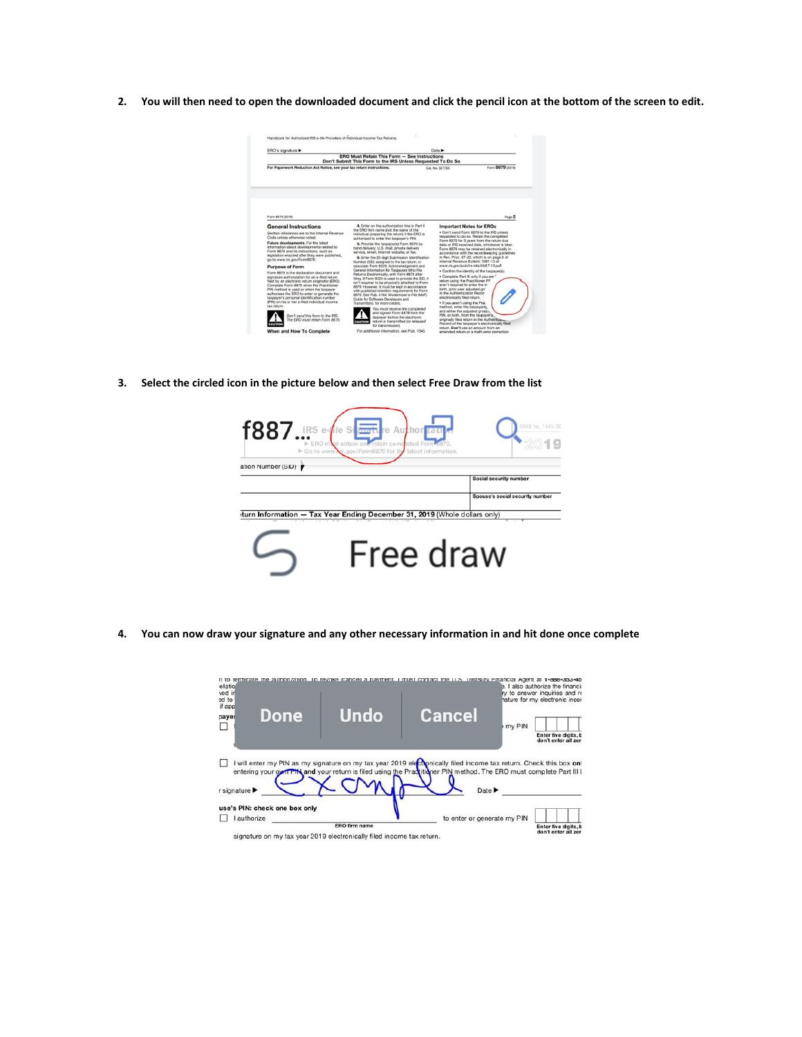**2. You will then need to open the downloaded document and click the pencil icon at the bottom of the screen to edit.**



**3. Select the circled icon in the picture below and then select Free Draw from the list**



**4. You can now draw your signature and any other necessary information in and hit done once complete**

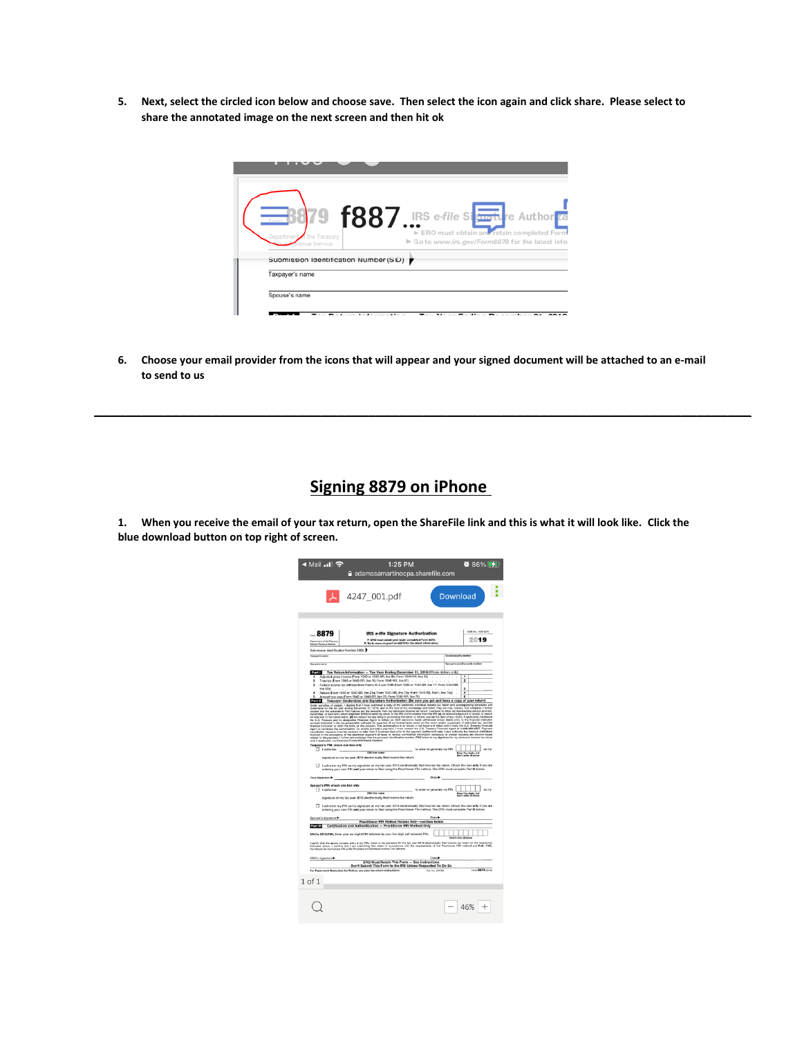**5. Next, select the circled icon below and choose save. Then select the icon again and click share. Please select to share the annotated image on the next screen and then hit ok** 

| the Treasury<br>nue Service            | 79 f887.IRS e-file Startle Author <sub>ea</sub><br>ERO must obtain and retain completed Form<br>▶ Go to www.irs.gov/Form8879 for the latest infor |
|----------------------------------------|---------------------------------------------------------------------------------------------------------------------------------------------------|
| Submission identification Number (SID) |                                                                                                                                                   |
| Taxpayer's name                        |                                                                                                                                                   |

**6. Choose your email provider from the icons that will appear and your signed document will be attached to an e-mail to send to us**

**\_\_\_\_\_\_\_\_\_\_\_\_\_\_\_\_\_\_\_\_\_\_\_\_\_\_\_\_\_\_\_\_\_\_\_\_\_\_\_\_\_\_\_\_\_\_\_\_\_\_\_\_\_\_\_\_\_\_\_\_\_\_\_\_\_\_\_\_\_\_\_\_\_\_\_\_\_\_\_\_\_\_\_\_**

## **Signing 8879 on iPhone**

**1. When you receive the email of your tax return, open the ShareFile link and this is what it will look like. Click the blue download button on top right of screen.**

| ৰ Mail <b>Il</b> হি                                                                                                                                                        | 1:25 PM                                                                                                                                                                                                                                                                                                                                                                                                                                                                                                                                                                                                                                                                                                                                                                                                                                                                                                                                                                                                                                                                                                                                                                                                                                                                                                                                                                                                                                                                               |                                                                                                    | $0.86\%$ $41$                                                                                                                                                    |
|----------------------------------------------------------------------------------------------------------------------------------------------------------------------------|---------------------------------------------------------------------------------------------------------------------------------------------------------------------------------------------------------------------------------------------------------------------------------------------------------------------------------------------------------------------------------------------------------------------------------------------------------------------------------------------------------------------------------------------------------------------------------------------------------------------------------------------------------------------------------------------------------------------------------------------------------------------------------------------------------------------------------------------------------------------------------------------------------------------------------------------------------------------------------------------------------------------------------------------------------------------------------------------------------------------------------------------------------------------------------------------------------------------------------------------------------------------------------------------------------------------------------------------------------------------------------------------------------------------------------------------------------------------------------------|----------------------------------------------------------------------------------------------------|------------------------------------------------------------------------------------------------------------------------------------------------------------------|
|                                                                                                                                                                            | adamssamartinocpa.sharefile.com                                                                                                                                                                                                                                                                                                                                                                                                                                                                                                                                                                                                                                                                                                                                                                                                                                                                                                                                                                                                                                                                                                                                                                                                                                                                                                                                                                                                                                                       |                                                                                                    |                                                                                                                                                                  |
|                                                                                                                                                                            | ↓ 4247_001.pdf                                                                                                                                                                                                                                                                                                                                                                                                                                                                                                                                                                                                                                                                                                                                                                                                                                                                                                                                                                                                                                                                                                                                                                                                                                                                                                                                                                                                                                                                        | Download                                                                                           |                                                                                                                                                                  |
| -- 8879<br>Department of the Treasur,<br>Internal Fleverse Service<br>Submission Identification Number (SID)                                                               | <b>IRS e-file Signature Authorization</b><br>ERO must obtain and retain completed Form 8879.<br>Co to www.irs.gov/Form8879 for the latest informatio                                                                                                                                                                                                                                                                                                                                                                                                                                                                                                                                                                                                                                                                                                                                                                                                                                                                                                                                                                                                                                                                                                                                                                                                                                                                                                                                  |                                                                                                    | OMB No. 1545-0074<br>2019                                                                                                                                        |
| Taxonom's name                                                                                                                                                             |                                                                                                                                                                                                                                                                                                                                                                                                                                                                                                                                                                                                                                                                                                                                                                                                                                                                                                                                                                                                                                                                                                                                                                                                                                                                                                                                                                                                                                                                                       | <b>Social security number</b>                                                                      |                                                                                                                                                                  |
| Source's owner                                                                                                                                                             |                                                                                                                                                                                                                                                                                                                                                                                                                                                                                                                                                                                                                                                                                                                                                                                                                                                                                                                                                                                                                                                                                                                                                                                                                                                                                                                                                                                                                                                                                       |                                                                                                    | Spouse's social security number                                                                                                                                  |
| Part I<br>$\circ$<br>٠<br>line 62a0<br>Taxpayer's PIN: check one box only<br>$\Box$ 1 authorize<br>Your signature<br>Spouse's PIN: check one box only<br>$\Box$ Lauthorize | Tax Return Information - Tax Year Ending December 31, 2019 (Whole dollars only)<br>Adjusted gross income (Form 1040 or 1040-SR, line Bb; Form 1040-NR, line 35)<br>Total tax (Form 1040 or 1040-SR, line 16; Form 1040-NR, line 61) .<br>Federal income tax withheld from Forms W-2 and 1099 (Form 1040 or 1043-SR, line 17; Form 1040-NR,<br>Retund (Form 1040 or 1040-SR, line 21a; Form 1040-NR, line 73a; Form 1040-SS, Part I, line 13a)<br>Amount you owe (Form 1040 or 1040-SR, line 23; Form 1040-NR, line 75)<br>2011 Taxpayer Declaration and Signature Authorization (Be sure you get and keep a copy of your return)<br>Under paralties of perjury, I declare that I have examined a copy of my electronic individual income tax return and accompany<br><b>ERO</b> firm name<br>signature on my tax year 2019 electronically filed income tax return.<br>I will enter my PIN as my signature on my tax year 2019 electronically fied income tax return. Check this box enty if you are<br>entering your own PIN and your return is filed using the Practitioner PIN method. The ERO must complete Part III below.<br>ERO firm name<br>signature on my tax year 2019 electronically filed income tax return.<br>I will enter my PIN as my signature on my tax year 2019 electronically filed income tax return. Check this box enty if you are<br>entering your own PIN and your return is filed using the Practitioner PIN method. The ERO must complete Part III below. | $\sim$ $\sim$ $\sim$<br>×.<br>to enter or generate my PIN<br>Date ><br>to enter or generate my PIN | ī<br>5<br>ä<br>$\overline{4}$<br>ins and<br>as my<br>Enter five digits, but<br>don't enter all pares<br>as my<br>Enter five digits, but<br>don't enter all zenos |
| Spouse's signature                                                                                                                                                         |                                                                                                                                                                                                                                                                                                                                                                                                                                                                                                                                                                                                                                                                                                                                                                                                                                                                                                                                                                                                                                                                                                                                                                                                                                                                                                                                                                                                                                                                                       | Date P                                                                                             |                                                                                                                                                                  |
| <b>Part III</b>                                                                                                                                                            | Practitioner PIN Method Returns Only-continue below<br>Certification and Authentication - Practitioner PIN Method Only                                                                                                                                                                                                                                                                                                                                                                                                                                                                                                                                                                                                                                                                                                                                                                                                                                                                                                                                                                                                                                                                                                                                                                                                                                                                                                                                                                |                                                                                                    |                                                                                                                                                                  |
| ERO's signature                                                                                                                                                            | ERO's EFIN/PIN. Enter your six-digit EFIN followed by your five-digit self-selected PIN.<br>I cerify that the above numeric entry is my PBI, which is my signature for the tax year 2019 electronically fied income tax return for the taxpayed<br>Indicated above. I confirm that I aam submitting this man in a scordance w                                                                                                                                                                                                                                                                                                                                                                                                                                                                                                                                                                                                                                                                                                                                                                                                                                                                                                                                                                                                                                                                                                                                                         | Date >                                                                                             | an a                                                                                                                                                             |
|                                                                                                                                                                            | ERO Must Retain This Form - See Instructions<br>Don't Submit This Form to the IRS Unless Requested To Do So                                                                                                                                                                                                                                                                                                                                                                                                                                                                                                                                                                                                                                                                                                                                                                                                                                                                                                                                                                                                                                                                                                                                                                                                                                                                                                                                                                           |                                                                                                    |                                                                                                                                                                  |
| $1$ of $1$                                                                                                                                                                 | For Paparwork Reduction Act Nation, see your tax return instructions.                                                                                                                                                                                                                                                                                                                                                                                                                                                                                                                                                                                                                                                                                                                                                                                                                                                                                                                                                                                                                                                                                                                                                                                                                                                                                                                                                                                                                 | Call, No. 327780                                                                                   | <b>Engrs 8879 (2119)</b>                                                                                                                                         |
|                                                                                                                                                                            |                                                                                                                                                                                                                                                                                                                                                                                                                                                                                                                                                                                                                                                                                                                                                                                                                                                                                                                                                                                                                                                                                                                                                                                                                                                                                                                                                                                                                                                                                       |                                                                                                    |                                                                                                                                                                  |
|                                                                                                                                                                            |                                                                                                                                                                                                                                                                                                                                                                                                                                                                                                                                                                                                                                                                                                                                                                                                                                                                                                                                                                                                                                                                                                                                                                                                                                                                                                                                                                                                                                                                                       |                                                                                                    | 46%                                                                                                                                                              |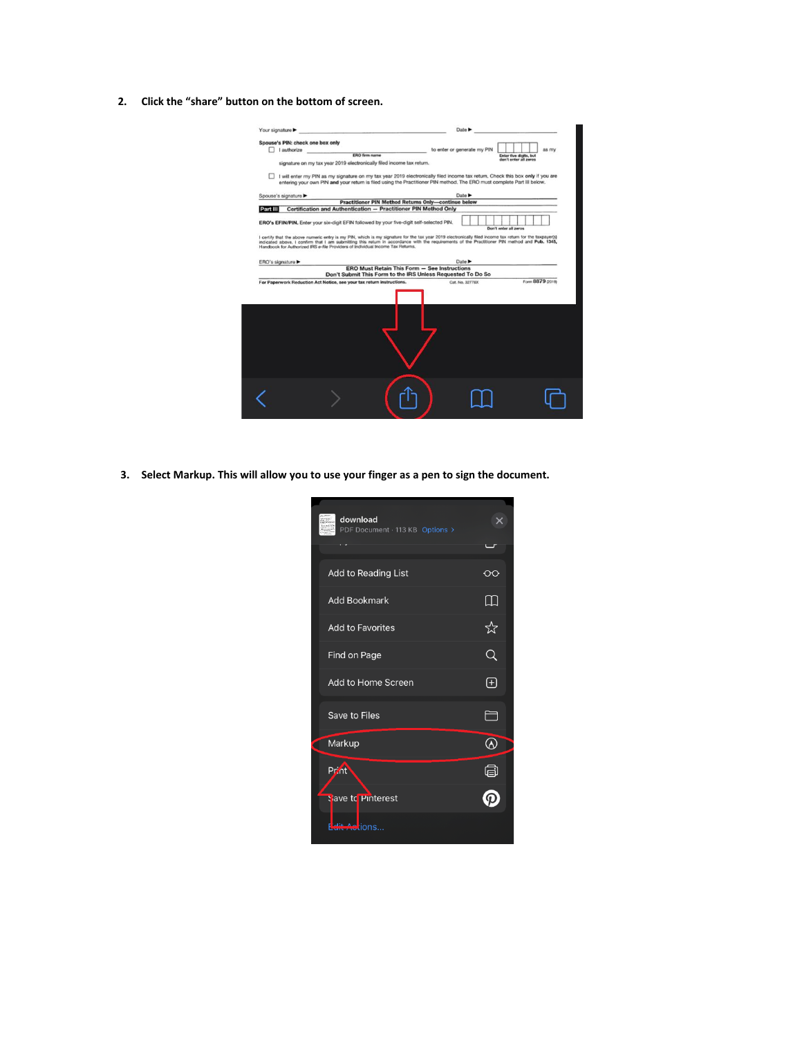**2. Click the "share" button on the bottom of screen.**

| Your signature |                                                                                                                                                                                                                                                           |                                                             |                             |                       |                                                 |                  |
|----------------|-----------------------------------------------------------------------------------------------------------------------------------------------------------------------------------------------------------------------------------------------------------|-------------------------------------------------------------|-----------------------------|-----------------------|-------------------------------------------------|------------------|
|                | Spouse's PIN: check one box only                                                                                                                                                                                                                          |                                                             |                             |                       |                                                 |                  |
|                | $\Box$ I authorize                                                                                                                                                                                                                                        |                                                             | to enter or generate my PIN |                       |                                                 | as my            |
|                | <b>ERO firm name</b>                                                                                                                                                                                                                                      |                                                             |                             |                       | Enter five digits, but<br>don't enter all zeros |                  |
|                | signature on my tax year 2019 electronically filed income tax return.                                                                                                                                                                                     |                                                             |                             |                       |                                                 |                  |
|                | I will enter my PIN as my signature on my tax year 2019 electronically filed income tax return. Check this box only if you are<br>entering your own PIN and your return is filed using the Practitioner PIN method. The ERO must complete Part III below. |                                                             |                             |                       |                                                 |                  |
|                | Spouse's signature                                                                                                                                                                                                                                        |                                                             | Date >                      |                       |                                                 |                  |
|                |                                                                                                                                                                                                                                                           | <b>Practitioner PIN Method Returns Only-continue below</b>  |                             |                       |                                                 |                  |
| Part III       | Certification and Authentication - Practitioner PIN Method Only                                                                                                                                                                                           |                                                             |                             |                       |                                                 |                  |
|                |                                                                                                                                                                                                                                                           |                                                             |                             |                       |                                                 |                  |
|                | ERO's EFIN/PIN. Enter your six-digit EFIN followed by your five-digit self-selected PIN.                                                                                                                                                                  |                                                             |                             | Don't enter all zeros |                                                 |                  |
|                | I certify that the above numeric entry is my PIN, which is my signature for the tax year 2019 electronically filed income tax return for the taxpayer(s)                                                                                                  |                                                             |                             |                       |                                                 |                  |
|                |                                                                                                                                                                                                                                                           |                                                             |                             |                       |                                                 |                  |
|                |                                                                                                                                                                                                                                                           |                                                             |                             |                       |                                                 |                  |
|                | ERO's signature ▶                                                                                                                                                                                                                                         |                                                             | Date $\blacktriangleright$  |                       |                                                 |                  |
|                |                                                                                                                                                                                                                                                           | <b>ERO Must Retain This Form - See Instructions</b>         |                             |                       |                                                 |                  |
|                | For Paperwork Reduction Act Notice, see your tax return instructions.                                                                                                                                                                                     | Don't Submit This Form to the IRS Unless Requested To Do So | Cat. No. 32778X             |                       |                                                 | Form 8879 (2019) |
|                |                                                                                                                                                                                                                                                           |                                                             |                             |                       |                                                 |                  |

**3. Select Markup. This will allow you to use your finger as a pen to sign the document.**

| download<br>PDF Document · 113 KB Options > |                                                                                                                  |
|---------------------------------------------|------------------------------------------------------------------------------------------------------------------|
| <b>Add to Reading List</b>                  | ∞                                                                                                                |
| <b>Add Bookmark</b>                         | M                                                                                                                |
| <b>Add to Favorites</b>                     | ☆                                                                                                                |
| Find on Page                                | Q                                                                                                                |
| Add to Home Screen                          | $\boxplus$                                                                                                       |
| Save to Files                               | 一                                                                                                                |
| Markup                                      | $\mathfrak{D}% _{T}=\mathfrak{D}_{T}\!\left( a,b\right) ,\mathfrak{D}_{T}=\mathfrak{D}_{T}\!\left( a,b\right) ,$ |
| Print                                       | G                                                                                                                |
| tiave to Pinterest                          |                                                                                                                  |
| Actions.                                    |                                                                                                                  |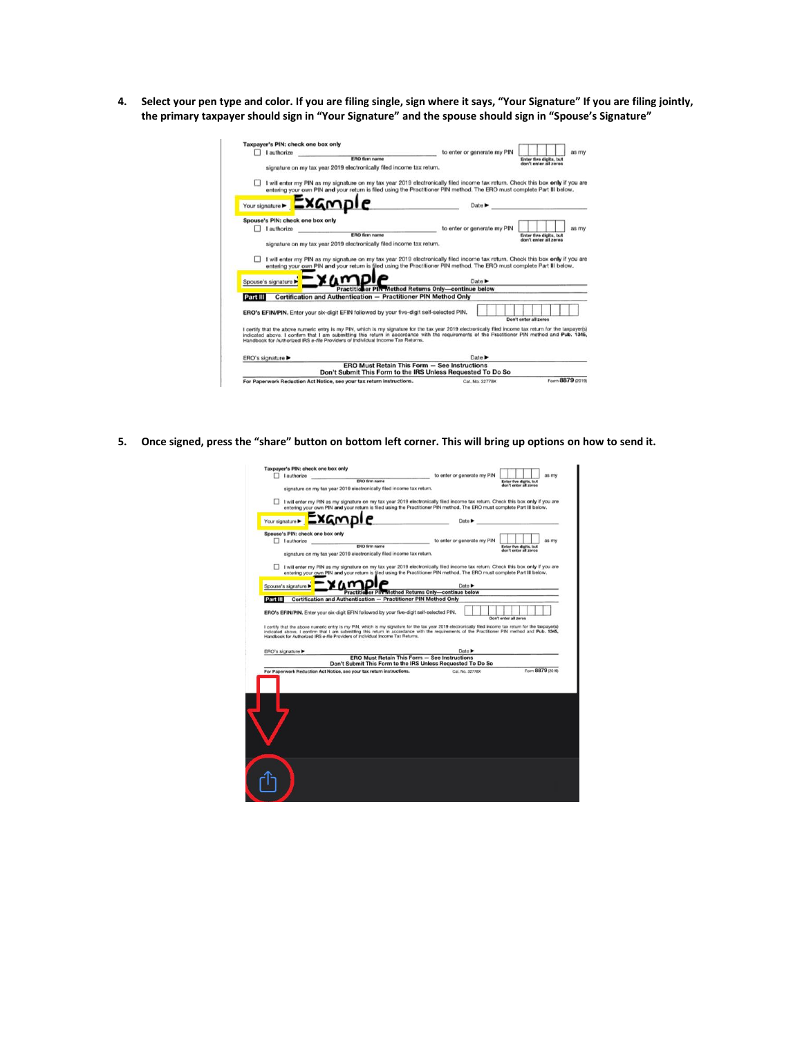**4. Select your pen type and color. If you are filing single, sign where it says, "Your Signature" If you are filing jointly, the primary taxpayer should sign in "Your Signature" and the spouse should sign in "Spouse's Signature"**

|          | Taxpayer's PIN: check one box only<br>I authorize |                                                                                                                                                                                                                                                                                                                                                                                             | to enter or generate my PIN |  |                       |                                                        | as my |
|----------|---------------------------------------------------|---------------------------------------------------------------------------------------------------------------------------------------------------------------------------------------------------------------------------------------------------------------------------------------------------------------------------------------------------------------------------------------------|-----------------------------|--|-----------------------|--------------------------------------------------------|-------|
|          | <b>ERO firm name</b>                              |                                                                                                                                                                                                                                                                                                                                                                                             |                             |  |                       | <b>Enter five digits, but</b><br>don't enter all zeros |       |
|          |                                                   | signature on my tax year 2019 electronically filed income tax return.                                                                                                                                                                                                                                                                                                                       |                             |  |                       |                                                        |       |
|          |                                                   | I will enter my PIN as my signature on my tax year 2019 electronically filed income tax return. Check this box only if you are<br>entering your own PIN and your return is filed using the Practitioner PIN method. The ERO must complete Part III below.                                                                                                                                   |                             |  |                       |                                                        |       |
|          | Your signature > Example                          |                                                                                                                                                                                                                                                                                                                                                                                             | Date $\blacktriangleright$  |  |                       |                                                        |       |
|          | Spouse's PIN: check one box only                  |                                                                                                                                                                                                                                                                                                                                                                                             |                             |  |                       |                                                        |       |
|          | I authorize                                       |                                                                                                                                                                                                                                                                                                                                                                                             | to enter or generate my PIN |  |                       |                                                        | as my |
|          |                                                   | <b>ERO firm name</b>                                                                                                                                                                                                                                                                                                                                                                        |                             |  |                       | Enter five digits, but<br>don't enter all zeros        |       |
|          |                                                   | signature on my tax year 2019 electronically filed income tax return.                                                                                                                                                                                                                                                                                                                       |                             |  |                       |                                                        |       |
|          |                                                   |                                                                                                                                                                                                                                                                                                                                                                                             |                             |  |                       |                                                        |       |
|          |                                                   | I will enter my PIN as my signature on my tax year 2019 electronically filed income tax return. Check this box only if you are<br>entering your own PIN and your return is filed using the Practitioner PIN method. The ERO must complete Part III below.                                                                                                                                   |                             |  |                       |                                                        |       |
|          | Spouse's signature                                |                                                                                                                                                                                                                                                                                                                                                                                             | Date <b>&gt;</b>            |  |                       |                                                        |       |
| Part III |                                                   | <b>Practitioner PIN-Method Returns Only-continue below</b><br>Certification and Authentication - Practitioner PIN Method Only                                                                                                                                                                                                                                                               |                             |  |                       |                                                        |       |
|          |                                                   | ERO's EFIN/PIN. Enter your six-digit EFIN followed by your five-digit self-selected PIN.                                                                                                                                                                                                                                                                                                    |                             |  |                       |                                                        |       |
|          |                                                   | I certify that the above numeric entry is my PIN, which is my signature for the tax year 2019 electronically filed income tax return for the taxpayer(s)<br>indicated above. I confirm that I am submitting this return in accordance with the requirements of the Practitioner PIN method and Pub. 1345,<br>Handbook for Authorized IRS e-file Providers of Individual Income Tax Returns. |                             |  | Don't enter all zeros |                                                        |       |
|          | ERO's signature                                   |                                                                                                                                                                                                                                                                                                                                                                                             | Date <b>&gt;</b>            |  |                       |                                                        |       |
|          |                                                   | <b>ERO Must Retain This Form - See Instructions</b><br>Don't Submit This Form to the IRS Unless Requested To Do So                                                                                                                                                                                                                                                                          |                             |  |                       |                                                        |       |

**5. Once signed, press the "share" button on bottom left corner. This will bring up options on how to send it.**

|                | I authorize                                                                                                                                                                                                                                                                                                                                                                                                                                                                             | to enter or generate my PIN               | as my                                           |
|----------------|-----------------------------------------------------------------------------------------------------------------------------------------------------------------------------------------------------------------------------------------------------------------------------------------------------------------------------------------------------------------------------------------------------------------------------------------------------------------------------------------|-------------------------------------------|-------------------------------------------------|
|                | <b>ERO firm name</b>                                                                                                                                                                                                                                                                                                                                                                                                                                                                    |                                           | Enter five digits, but<br>don't enter all zeros |
|                | signature on my tax year 2019 electronically filed income tax return.                                                                                                                                                                                                                                                                                                                                                                                                                   |                                           |                                                 |
|                | I will enter my PIN as my signature on my tax year 2019 electronically filed income tax return. Check this box only if you are<br>entering your own PIN and your return is filed using the Practitioner PIN method. The ERO must complete Part III below.                                                                                                                                                                                                                               |                                           |                                                 |
| Your signature |                                                                                                                                                                                                                                                                                                                                                                                                                                                                                         | Date $\blacktriangleright$                |                                                 |
|                | Spouse's PIN: check one box only                                                                                                                                                                                                                                                                                                                                                                                                                                                        |                                           |                                                 |
|                | I authorize                                                                                                                                                                                                                                                                                                                                                                                                                                                                             | to enter or generate my PIN               | as my                                           |
|                | <b>ERO firm name</b><br>signature on my tax year 2019 electronically filed income tax return.                                                                                                                                                                                                                                                                                                                                                                                           |                                           | Enter five digits, but<br>don't enter all zeros |
|                |                                                                                                                                                                                                                                                                                                                                                                                                                                                                                         |                                           |                                                 |
|                | I will enter my PIN as my signature on my tax year 2019 electronically filed income tax return. Check this box only if you are                                                                                                                                                                                                                                                                                                                                                          |                                           |                                                 |
|                | entering your own PIN and your return is filed using the Practitioner PIN method. The ERO must complete Part III below.                                                                                                                                                                                                                                                                                                                                                                 |                                           |                                                 |
|                | Spouse's signature                                                                                                                                                                                                                                                                                                                                                                                                                                                                      | Date $\blacktriangleright$                |                                                 |
|                | Practitio                                                                                                                                                                                                                                                                                                                                                                                                                                                                               | er PIN Method Returns Only-continue below |                                                 |
| Part III       | Certification and Authentication - Practitioner PIN Method Only                                                                                                                                                                                                                                                                                                                                                                                                                         |                                           |                                                 |
|                |                                                                                                                                                                                                                                                                                                                                                                                                                                                                                         |                                           |                                                 |
|                |                                                                                                                                                                                                                                                                                                                                                                                                                                                                                         |                                           |                                                 |
|                | ERO's EFIN/PIN, Enter your six-digit EFIN followed by your five-digit self-selected PIN.<br>I certify that the above numeric entry is my PIN, which is my signature for the tax year 2019 electronically filed income tax return for the taxpayer(s)<br>indicated above. I confirm that I am submitting this return in accordance with the requirements of the Practitioner PIN method and Pub. 1345,<br>Handbook for Authorized IRS e-file Providers of Individual Income Tax Returns. |                                           | Don't enter all zeros                           |
|                |                                                                                                                                                                                                                                                                                                                                                                                                                                                                                         |                                           |                                                 |
|                | ERO's signature ▶<br><b>ERO Must Retain This Form - See Instructions</b>                                                                                                                                                                                                                                                                                                                                                                                                                | Date $\blacktriangleright$                |                                                 |
|                | Don't Submit This Form to the IRS Unless Requested To Do So                                                                                                                                                                                                                                                                                                                                                                                                                             | Cat. No. 32778X                           | Form 8879 (2019)                                |
|                | For Paperwork Reduction Act Notice, see your tax return instructions.                                                                                                                                                                                                                                                                                                                                                                                                                   |                                           |                                                 |
|                |                                                                                                                                                                                                                                                                                                                                                                                                                                                                                         |                                           |                                                 |
|                |                                                                                                                                                                                                                                                                                                                                                                                                                                                                                         |                                           |                                                 |
|                |                                                                                                                                                                                                                                                                                                                                                                                                                                                                                         |                                           |                                                 |
|                |                                                                                                                                                                                                                                                                                                                                                                                                                                                                                         |                                           |                                                 |
|                |                                                                                                                                                                                                                                                                                                                                                                                                                                                                                         |                                           |                                                 |
|                |                                                                                                                                                                                                                                                                                                                                                                                                                                                                                         |                                           |                                                 |
|                |                                                                                                                                                                                                                                                                                                                                                                                                                                                                                         |                                           |                                                 |
|                |                                                                                                                                                                                                                                                                                                                                                                                                                                                                                         |                                           |                                                 |
|                |                                                                                                                                                                                                                                                                                                                                                                                                                                                                                         |                                           |                                                 |
|                |                                                                                                                                                                                                                                                                                                                                                                                                                                                                                         |                                           |                                                 |
|                |                                                                                                                                                                                                                                                                                                                                                                                                                                                                                         |                                           |                                                 |